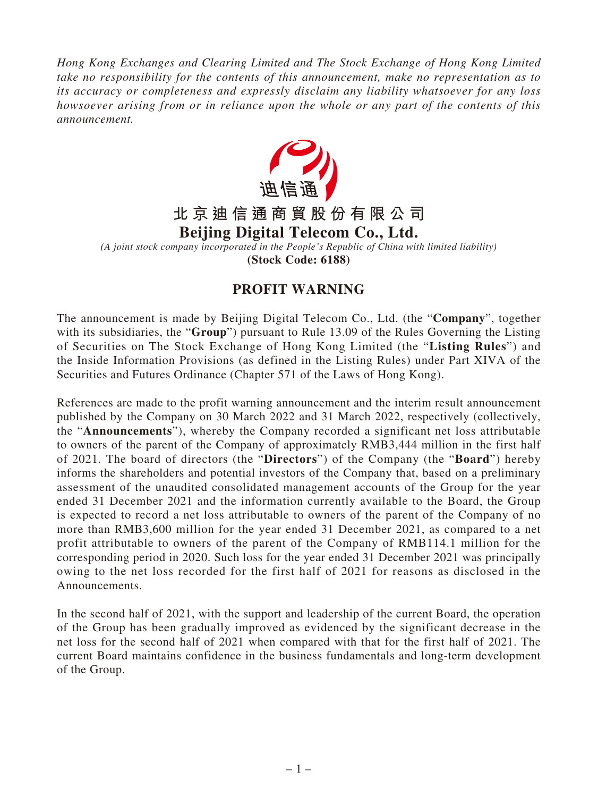*Hong Kong Exchanges and Clearing Limited and The Stock Exchange of Hong Kong Limited take no responsibility for the contents of this announcement, make no representation as to its accuracy or completeness and expressly disclaim any liability whatsoever for any loss howsoever arising from or in reliance upon the whole or any part of the contents of this announcement.*



## **PROFIT WARNING**

The announcement is made by Beijing Digital Telecom Co., Ltd. (the "**Company**", together with its subsidiaries, the "**Group**") pursuant to Rule 13.09 of the Rules Governing the Listing of Securities on The Stock Exchange of Hong Kong Limited (the "**Listing Rules**") and the Inside Information Provisions (as defined in the Listing Rules) under Part XIVA of the Securities and Futures Ordinance (Chapter 571 of the Laws of Hong Kong).

References are made to the profit warning announcement and the interim result announcement published by the Company on 30 March 2022 and 31 March 2022, respectively (collectively, the "**Announcements**"), whereby the Company recorded a significant net loss attributable to owners of the parent of the Company of approximately RMB3,444 million in the first half of 2021. The board of directors (the "**Directors**") of the Company (the "**Board**") hereby informs the shareholders and potential investors of the Company that, based on a preliminary assessment of the unaudited consolidated management accounts of the Group for the year ended 31 December 2021 and the information currently available to the Board, the Group is expected to record a net loss attributable to owners of the parent of the Company of no more than RMB3,600 million for the year ended 31 December 2021, as compared to a net profit attributable to owners of the parent of the Company of RMB114.1 million for the corresponding period in 2020. Such loss for the year ended 31 December 2021 was principally owing to the net loss recorded for the first half of 2021 for reasons as disclosed in the Announcements.

In the second half of 2021, with the support and leadership of the current Board, the operation of the Group has been gradually improved as evidenced by the significant decrease in the net loss for the second half of 2021 when compared with that for the first half of 2021. The current Board maintains confidence in the business fundamentals and long-term development of the Group.